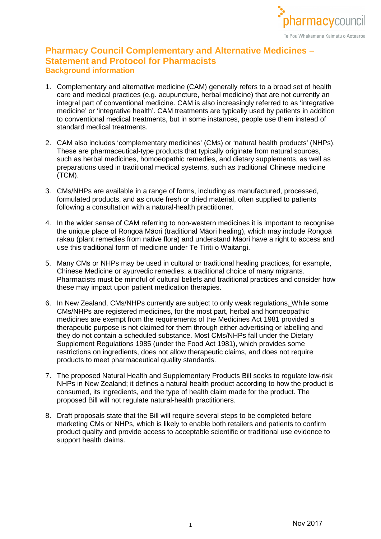

# **Pharmacy Council Complementary and Alternative Medicines – Statement and Protocol for Pharmacists Background information**

- 1. Complementary and alternative medicine (CAM) generally refers to a broad set of health care and medical practices (e.g. acupuncture, herbal medicine) that are not currently an integral part of conventional medicine. CAM is also increasingly referred to as 'integrative medicine' or 'integrative health'. CAM treatments are typically used by patients in addition to conventional medical treatments, but in some instances, people use them instead of standard medical treatments.
- 2. CAM also includes 'complementary medicines' (CMs) or 'natural health products' (NHPs). These are pharmaceutical-type products that typically originate from natural sources, such as herbal medicines, homoeopathic remedies, and dietary supplements, as well as preparations used in traditional medical systems, such as traditional Chinese medicine (TCM).
- 3. CMs/NHPs are available in a range of forms, including as manufactured, processed, formulated products, and as crude fresh or dried material, often supplied to patients following a consultation with a natural-health practitioner.
- 4. In the wider sense of CAM referring to non-western medicines it is important to recognise the unique place of Rongoā Māori (traditional Māori healing), which may include Rongoā rakau (plant remedies from native flora) and understand Māori have a right to access and use this traditional form of medicine under Te Tiriti o Waitangi.
- 5. Many CMs or NHPs may be used in cultural or traditional healing practices, for example, Chinese Medicine or ayurvedic remedies, a traditional choice of many migrants. Pharmacists must be mindful of cultural beliefs and traditional practices and consider how these may impact upon patient medication therapies.
- 6. In New Zealand, CMs/NHPs currently are subject to only weak regulations. While some CMs/NHPs are registered medicines, for the most part, herbal and homoeopathic medicines are exempt from the requirements of the Medicines Act 1981 provided a therapeutic purpose is not claimed for them through either advertising or labelling and they do not contain a scheduled substance. Most CMs/NHPs fall under the Dietary Supplement Regulations 1985 (under the Food Act 1981), which provides some restrictions on ingredients, does not allow therapeutic claims, and does not require products to meet pharmaceutical quality standards.
- 7. The proposed Natural Health and Supplementary Products Bill seeks to regulate low-risk NHPs in New Zealand; it defines a natural health product according to how the product is consumed, its ingredients, and the type of health claim made for the product. The proposed Bill will not regulate natural-health practitioners.
- 8. Draft proposals state that the Bill will require several steps to be completed before marketing CMs or NHPs, which is likely to enable both retailers and patients to confirm product quality and provide access to acceptable scientific or traditional use evidence to support health claims.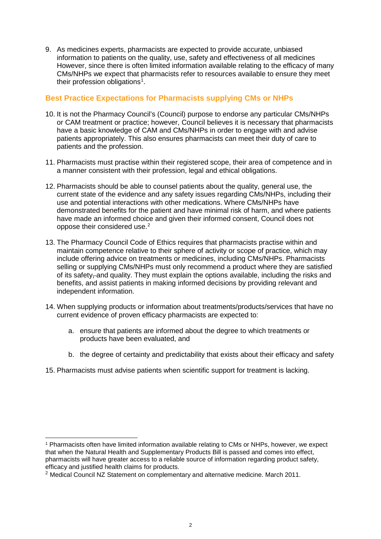9. As medicines experts, pharmacists are expected to provide accurate, unbiased information to patients on the quality, use, safety and effectiveness of all medicines However, since there is often limited information available relating to the efficacy of many CMs/NHPs we expect that pharmacists refer to resources available to ensure they meet their profession obligations<sup>[1](#page-1-0)</sup>.

## **Best Practice Expectations for Pharmacists supplying CMs or NHPs**

- 10. It is not the Pharmacy Council's (Council) purpose to endorse any particular CMs/NHPs or CAM treatment or practice; however, Council believes it is necessary that pharmacists have a basic knowledge of CAM and CMs/NHPs in order to engage with and advise patients appropriately. This also ensures pharmacists can meet their duty of care to patients and the profession.
- 11. Pharmacists must practise within their registered scope, their area of competence and in a manner consistent with their profession, legal and ethical obligations.
- 12. Pharmacists should be able to counsel patients about the quality, general use, the current state of the evidence and any safety issues regarding CMs/NHPs, including their use and potential interactions with other medications. Where CMs/NHPs have demonstrated benefits for the patient and have minimal risk of harm, and where patients have made an informed choice and given their informed consent, Council does not oppose their considered use.[2](#page-1-1)
- 13. The Pharmacy Council Code of Ethics requires that pharmacists practise within and maintain competence relative to their sphere of activity or scope of practice, which may include offering advice on treatments or medicines, including CMs/NHPs. Pharmacists selling or supplying CMs/NHPs must only recommend a product where they are satisfied of its safety, and quality. They must explain the options available, including the risks and benefits, and assist patients in making informed decisions by providing relevant and independent information.
- 14. When supplying products or information about treatments/products/services that have no current evidence of proven efficacy pharmacists are expected to:
	- a. ensure that patients are informed about the degree to which treatments or products have been evaluated, and
	- b. the degree of certainty and predictability that exists about their efficacy and safety
- 15. Pharmacists must advise patients when scientific support for treatment is lacking.

<span id="page-1-0"></span> <sup>1</sup> Pharmacists often have limited information available relating to CMs or NHPs, however, we expect that when the Natural Health and Supplementary Products Bill is passed and comes into effect, pharmacists will have greater access to a reliable source of information regarding product safety, efficacy and justified health claims for products.

<span id="page-1-1"></span> $2$  Medical Council NZ Statement on complementary and alternative medicine. March 2011.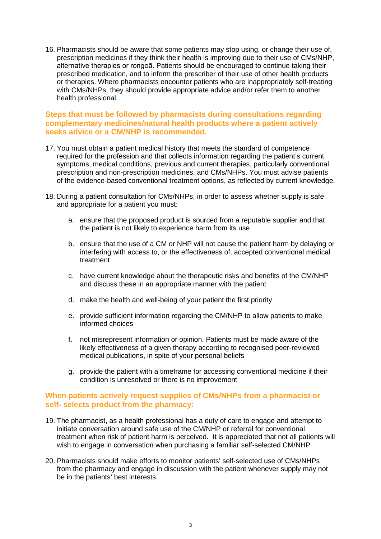16. Pharmacists should be aware that some patients may stop using, or change their use of, prescription medicines if they think their health is improving due to their use of CMs/NHP, alternative therapies or rongoā. Patients should be encouraged to continue taking their prescribed medication, and to inform the prescriber of their use of other health products or therapies. Where pharmacists encounter patients who are inappropriately self-treating with CMs/NHPs, they should provide appropriate advice and/or refer them to another health professional.

#### **Steps that must be followed by pharmacists during consultations regarding complementary medicines/natural health products where a patient actively seeks advice or a CM/NHP is recommended.**

- 17. You must obtain a patient medical history that meets the standard of competence required for the profession and that collects information regarding the patient's current symptoms, medical conditions, previous and current therapies, particularly conventional prescription and non-prescription medicines, and CMs/NHPs. You must advise patients of the evidence-based conventional treatment options, as reflected by current knowledge.
- 18. During a patient consultation for CMs/NHPs, in order to assess whether supply is safe and appropriate for a patient you must:
	- a. ensure that the proposed product is sourced from a reputable supplier and that the patient is not likely to experience harm from its use
	- b. ensure that the use of a CM or NHP will not cause the patient harm by delaying or interfering with access to, or the effectiveness of, accepted conventional medical treatment
	- c. have current knowledge about the therapeutic risks and benefits of the CM/NHP and discuss these in an appropriate manner with the patient
	- d. make the health and well-being of your patient the first priority
	- e. provide sufficient information regarding the CM/NHP to allow patients to make informed choices
	- f. not misrepresent information or opinion. Patients must be made aware of the likely effectiveness of a given therapy according to recognised peer-reviewed medical publications, in spite of your personal beliefs
	- g. provide the patient with a timeframe for accessing conventional medicine if their condition is unresolved or there is no improvement

#### **When patients actively request supplies of CMs/NHPs from a pharmacist or self- selects product from the pharmacy:**

- 19. The pharmacist, as a health professional has a duty of care to engage and attempt to initiate conversation around safe use of the CM/NHP or referral for conventional treatment when risk of patient harm is perceived. It is appreciated that not all patients will wish to engage in conversation when purchasing a familiar self-selected CM/NHP
- 20. Pharmacists should make efforts to monitor patients' self-selected use of CMs/NHPs from the pharmacy and engage in discussion with the patient whenever supply may not be in the patients' best interests.